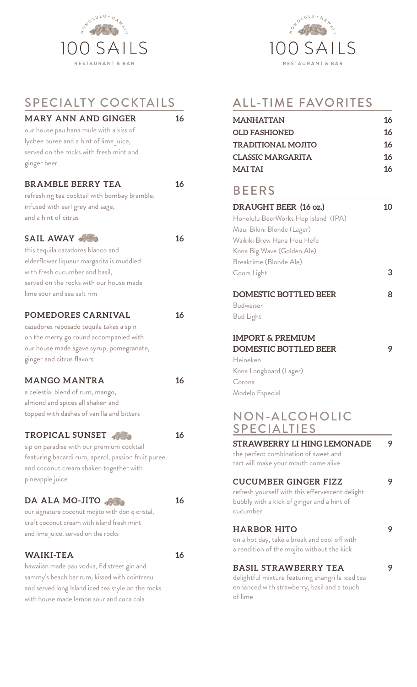

| SPECIALTY COCKTAILS                                |    |
|----------------------------------------------------|----|
| <b>MARY ANN AND GINGER</b>                         | 16 |
| our house pau hana mule with a kiss of             |    |
| lychee puree and a hint of lime juice,             |    |
| served on the rocks with fresh mint and            |    |
| ginger beer                                        |    |
| <b>BRAMBLE BERRY TEA</b>                           | 16 |
| refreshing tea cocktail with bombay bramble,       |    |
| infused with earl grey and sage,                   |    |
| and a hint of citrus                               |    |
| <b>SAIL AWAY</b>                                   | 16 |
| this tequila cazadores blanco and                  |    |
| elderflower liqueur margarita is muddled           |    |
| with fresh cucumber and basil,                     |    |
| served on the rocks with our house made            |    |
| lime sour and sea salt rim                         |    |
| POMEDORES CARNIVAL                                 | 16 |
| cazadores reposado tequila takes a spin            |    |
| on the merry go round accompanied with             |    |
| our house made agave syrup, pomegranate,           |    |
| ginger and citrus flavors                          |    |
| <b>MANGO MANTRA</b>                                | 16 |
| a celestial blend of rum, mango,                   |    |
| almond and spices all shaken and                   |    |
| topped with dashes of vanilla and bitters          |    |
| TROPICAL SUNSET                                    | 16 |
| sip on paradise with our premium cocktail          |    |
| featuring bacardi rum, aperol, passion fruit puree |    |
| and coconut cream shaken together with             |    |
| pineapple juice                                    |    |
| DA ALA MO-JITO                                     | 16 |
| our signature coconut mojito with don q cristal,   |    |
| craft coconut cream with island fresh mint         |    |
| and lime juice, served on the rocks                |    |
| <b>WAIKI-TEA</b>                                   | 16 |
| hawaiian made pau vodka, fid street gin and        |    |
| sammy's beach bar rum, kissed with cointreau       |    |
| and served long Island iced tea style on the rocks |    |
| with house made lemon sour and coca cola           |    |



# ALL-TIME FAVORITES

| <b>MANHATTAN</b>                                 | 16 |
|--------------------------------------------------|----|
| <b>OLD FASHIONED</b>                             | 16 |
| <b>TRADITIONAL MOJITO</b>                        | 16 |
| <b>CLASSIC MARGARITA</b>                         | 16 |
| <b>MAITAI</b>                                    | 16 |
| <b>BEERS</b>                                     |    |
| DRAUGHT BEER (16 oz.)                            | 10 |
| Honolulu BeerWorks Hop Island (IPA)              |    |
| Maui Bikini Blonde (Lager)                       |    |
| Waikiki Brew Hana Hou Hefe                       |    |
| Kona Big Wave (Golden Ale)                       |    |
| Breaktime (Blonde Ale)                           |    |
| Coors Light                                      | 3  |
| <b>DOMESTIC BOTTLED BEER</b>                     | 8  |
| <b>Budweiser</b>                                 |    |
| <b>Bud Light</b>                                 |    |
|                                                  |    |
| <b>IMPORT &amp; PREMIUM</b>                      |    |
| <b>DOMESTIC BOTTLED BEER</b>                     | 9  |
| Heineken                                         |    |
| Kona Longboard (Lager)                           |    |
| Corona                                           |    |
| Modelo Especial                                  |    |
| NON-ALCOHOLIC                                    |    |
| <b>SPECIALTIES</b>                               |    |
| <b>STRAWBERRY LI HING LEMONADE</b>               | 9  |
| the perfect combination of sweet and             |    |
| tart will make your mouth come alive             |    |
| <b>CUCUMBER GINGER FIZZ</b>                      |    |
| refresh yourself with this effervescent delight  |    |
| bubbly with a kick of ginger and a hint of       |    |
| cucumber                                         |    |
| <b>HARBOR HITO</b>                               |    |
| on a hot day, take a break and cool off with     |    |
| a rendition of the mojito without the kick       |    |
| <b>BASIL STRAWBERRY TEA</b>                      |    |
| delightful mixture featuring shangri la iced tea |    |
| enhanced with strawberry, basil and a touch      |    |
| of lime                                          |    |